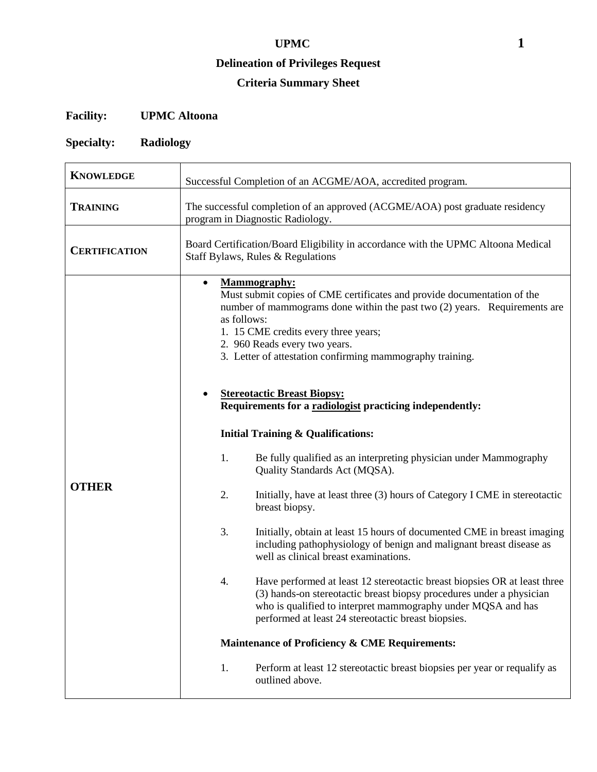#### **Delineation of Privileges Request**

# **Criteria Summary Sheet**

# **Facility: UPMC Altoona**

# **Specialty: Radiology**

| <b>KNOWLEDGE</b>     | Successful Completion of an ACGME/AOA, accredited program.                                                                                                                                                                                                                                                                                                                            |  |  |
|----------------------|---------------------------------------------------------------------------------------------------------------------------------------------------------------------------------------------------------------------------------------------------------------------------------------------------------------------------------------------------------------------------------------|--|--|
| <b>TRAINING</b>      | The successful completion of an approved (ACGME/AOA) post graduate residency<br>program in Diagnostic Radiology.                                                                                                                                                                                                                                                                      |  |  |
| <b>CERTIFICATION</b> | Board Certification/Board Eligibility in accordance with the UPMC Altoona Medical<br>Staff Bylaws, Rules & Regulations                                                                                                                                                                                                                                                                |  |  |
|                      | <b>Mammography:</b><br>$\bullet$<br>Must submit copies of CME certificates and provide documentation of the<br>number of mammograms done within the past two $(2)$ years. Requirements are<br>as follows:<br>1. 15 CME credits every three years;<br>2. 960 Reads every two years.<br>3. Letter of attestation confirming mammography training.<br><b>Stereotactic Breast Biopsy:</b> |  |  |
|                      | Requirements for a radiologist practicing independently:                                                                                                                                                                                                                                                                                                                              |  |  |
|                      | <b>Initial Training &amp; Qualifications:</b>                                                                                                                                                                                                                                                                                                                                         |  |  |
|                      | 1.<br>Be fully qualified as an interpreting physician under Mammography<br>Quality Standards Act (MQSA).                                                                                                                                                                                                                                                                              |  |  |
| <b>OTHER</b>         | 2.<br>Initially, have at least three (3) hours of Category I CME in stereotactic<br>breast biopsy.                                                                                                                                                                                                                                                                                    |  |  |
|                      | 3.<br>Initially, obtain at least 15 hours of documented CME in breast imaging<br>including pathophysiology of benign and malignant breast disease as<br>well as clinical breast examinations.                                                                                                                                                                                         |  |  |
|                      | 4.<br>Have performed at least 12 stereotactic breast biopsies OR at least three<br>(3) hands-on stereotactic breast biopsy procedures under a physician<br>who is qualified to interpret mammography under MQSA and has<br>performed at least 24 stereotactic breast biopsies.                                                                                                        |  |  |
|                      | <b>Maintenance of Proficiency &amp; CME Requirements:</b>                                                                                                                                                                                                                                                                                                                             |  |  |
|                      | 1.<br>Perform at least 12 stereotactic breast biopsies per year or requalify as<br>outlined above.                                                                                                                                                                                                                                                                                    |  |  |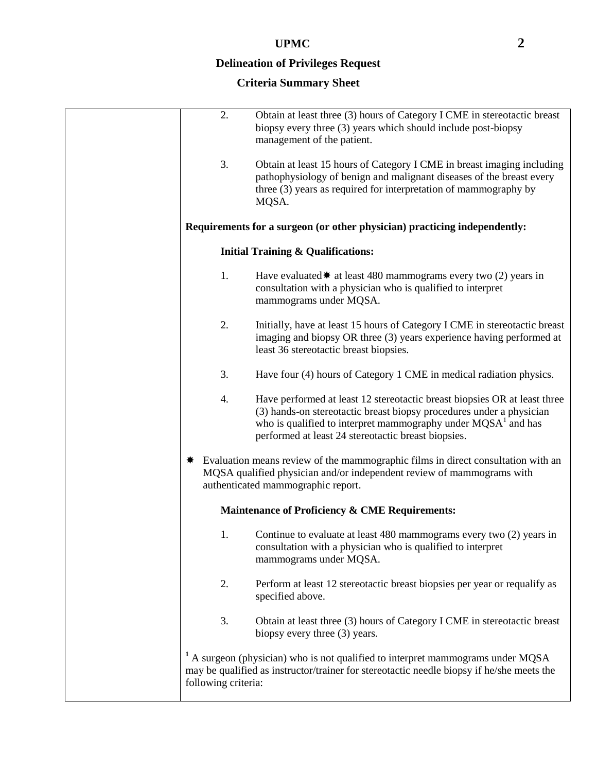### **Delineation of Privileges Request**

| 2.                  | Obtain at least three (3) hours of Category I CME in stereotactic breast<br>biopsy every three (3) years which should include post-biopsy<br>management of the patient.                                                                                                               |
|---------------------|---------------------------------------------------------------------------------------------------------------------------------------------------------------------------------------------------------------------------------------------------------------------------------------|
| 3.                  | Obtain at least 15 hours of Category I CME in breast imaging including<br>pathophysiology of benign and malignant diseases of the breast every<br>three (3) years as required for interpretation of mammography by<br>MQSA.                                                           |
|                     | Requirements for a surgeon (or other physician) practicing independently:                                                                                                                                                                                                             |
|                     | <b>Initial Training &amp; Qualifications:</b>                                                                                                                                                                                                                                         |
| 1.                  | Have evaluated $\ast$ at least 480 mammograms every two (2) years in<br>consultation with a physician who is qualified to interpret<br>mammograms under MQSA.                                                                                                                         |
| 2.                  | Initially, have at least 15 hours of Category I CME in stereotactic breast<br>imaging and biopsy OR three (3) years experience having performed at<br>least 36 stereotactic breast biopsies.                                                                                          |
| 3.                  | Have four (4) hours of Category 1 CME in medical radiation physics.                                                                                                                                                                                                                   |
| 4.                  | Have performed at least 12 stereotactic breast biopsies OR at least three<br>(3) hands-on stereotactic breast biopsy procedures under a physician<br>who is qualified to interpret mammography under MQSA <sup>1</sup> and has<br>performed at least 24 stereotactic breast biopsies. |
|                     | Evaluation means review of the mammographic films in direct consultation with an<br>MQSA qualified physician and/or independent review of mammograms with<br>authenticated mammographic report.                                                                                       |
|                     | Maintenance of Proficiency & CME Requirements:                                                                                                                                                                                                                                        |
| 1.                  | Continue to evaluate at least 480 mammograms every two (2) years in<br>consultation with a physician who is qualified to interpret<br>mammograms under MQSA.                                                                                                                          |
| 2.                  | Perform at least 12 stereotactic breast biopsies per year or requalify as<br>specified above.                                                                                                                                                                                         |
| 3.                  | Obtain at least three (3) hours of Category I CME in stereotactic breast<br>biopsy every three (3) years.                                                                                                                                                                             |
| following criteria: | <sup>1</sup> A surgeon (physician) who is not qualified to interpret mammograms under MQSA<br>may be qualified as instructor/trainer for stereotactic needle biopsy if he/she meets the                                                                                               |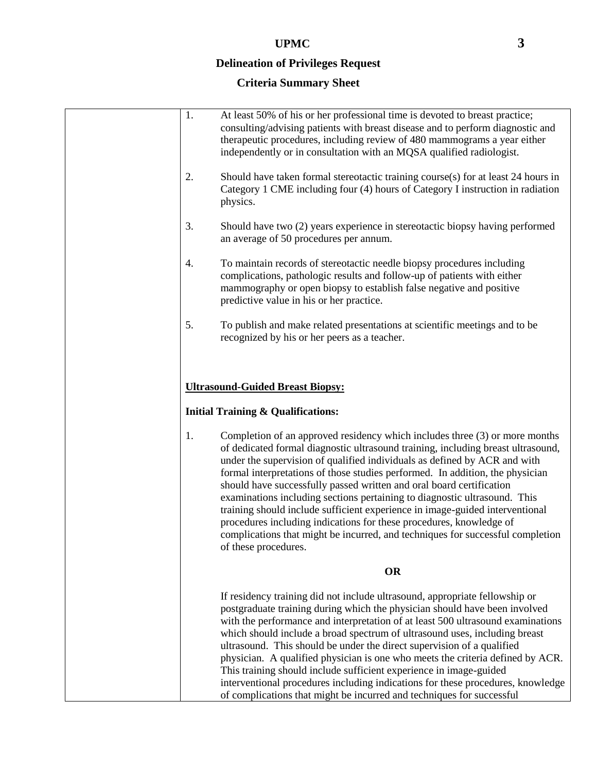### **Delineation of Privileges Request**

| 1. |                                                                                                                                                                                                                                                                                                                                                                                                                                                                                                                                                                                  |
|----|----------------------------------------------------------------------------------------------------------------------------------------------------------------------------------------------------------------------------------------------------------------------------------------------------------------------------------------------------------------------------------------------------------------------------------------------------------------------------------------------------------------------------------------------------------------------------------|
|    | At least 50% of his or her professional time is devoted to breast practice;<br>consulting/advising patients with breast disease and to perform diagnostic and<br>therapeutic procedures, including review of 480 mammograms a year either<br>independently or in consultation with an MQSA qualified radiologist.                                                                                                                                                                                                                                                                |
| 2. | Should have taken formal stereotactic training course(s) for at least 24 hours in<br>Category 1 CME including four (4) hours of Category I instruction in radiation<br>physics.                                                                                                                                                                                                                                                                                                                                                                                                  |
| 3. | Should have two (2) years experience in stereotactic biopsy having performed<br>an average of 50 procedures per annum.                                                                                                                                                                                                                                                                                                                                                                                                                                                           |
| 4. | To maintain records of stereotactic needle biopsy procedures including<br>complications, pathologic results and follow-up of patients with either<br>mammography or open biopsy to establish false negative and positive<br>predictive value in his or her practice.                                                                                                                                                                                                                                                                                                             |
| 5. | To publish and make related presentations at scientific meetings and to be<br>recognized by his or her peers as a teacher.                                                                                                                                                                                                                                                                                                                                                                                                                                                       |
| 1. | <b>Ultrasound-Guided Breast Biopsy:</b><br><b>Initial Training &amp; Qualifications:</b><br>Completion of an approved residency which includes three (3) or more months<br>of dedicated formal diagnostic ultrasound training, including breast ultrasound,                                                                                                                                                                                                                                                                                                                      |
|    | under the supervision of qualified individuals as defined by ACR and with<br>formal interpretations of those studies performed. In addition, the physician<br>should have successfully passed written and oral board certification<br>examinations including sections pertaining to diagnostic ultrasound. This<br>training should include sufficient experience in image-guided interventional<br>procedures including indications for these procedures, knowledge of<br>complications that might be incurred, and techniques for successful completion<br>of these procedures. |
|    | <b>OR</b>                                                                                                                                                                                                                                                                                                                                                                                                                                                                                                                                                                        |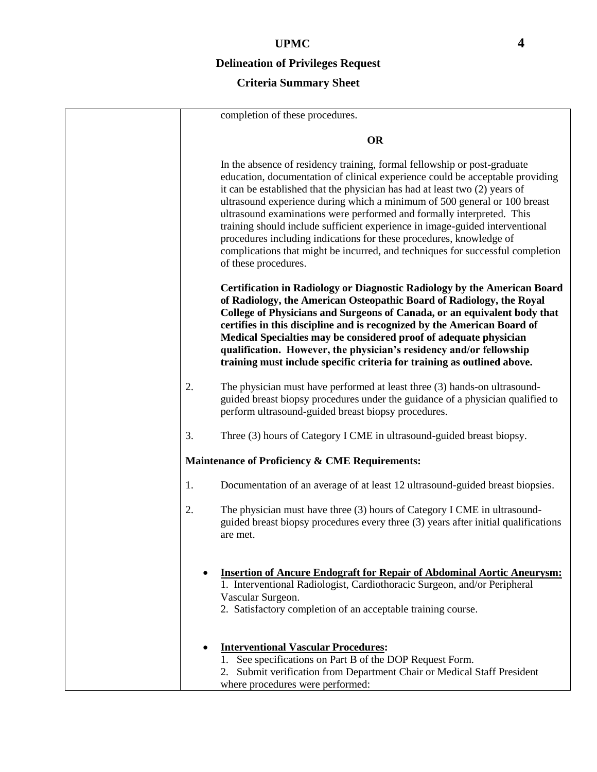## **Delineation of Privileges Request**

|    | completion of these procedures.                                                                                                                                                                                                                                                                                                                                                                                                                                                                                                                                                                                                                                |
|----|----------------------------------------------------------------------------------------------------------------------------------------------------------------------------------------------------------------------------------------------------------------------------------------------------------------------------------------------------------------------------------------------------------------------------------------------------------------------------------------------------------------------------------------------------------------------------------------------------------------------------------------------------------------|
|    | <b>OR</b>                                                                                                                                                                                                                                                                                                                                                                                                                                                                                                                                                                                                                                                      |
|    | In the absence of residency training, formal fellowship or post-graduate<br>education, documentation of clinical experience could be acceptable providing<br>it can be established that the physician has had at least two (2) years of<br>ultrasound experience during which a minimum of 500 general or 100 breast<br>ultrasound examinations were performed and formally interpreted. This<br>training should include sufficient experience in image-guided interventional<br>procedures including indications for these procedures, knowledge of<br>complications that might be incurred, and techniques for successful completion<br>of these procedures. |
|    | Certification in Radiology or Diagnostic Radiology by the American Board<br>of Radiology, the American Osteopathic Board of Radiology, the Royal<br>College of Physicians and Surgeons of Canada, or an equivalent body that<br>certifies in this discipline and is recognized by the American Board of<br>Medical Specialties may be considered proof of adequate physician<br>qualification. However, the physician's residency and/or fellowship<br>training must include specific criteria for training as outlined above.                                                                                                                                 |
| 2. | The physician must have performed at least three (3) hands-on ultrasound-<br>guided breast biopsy procedures under the guidance of a physician qualified to<br>perform ultrasound-guided breast biopsy procedures.                                                                                                                                                                                                                                                                                                                                                                                                                                             |
| 3. | Three (3) hours of Category I CME in ultrasound-guided breast biopsy.                                                                                                                                                                                                                                                                                                                                                                                                                                                                                                                                                                                          |
|    | Maintenance of Proficiency & CME Requirements:                                                                                                                                                                                                                                                                                                                                                                                                                                                                                                                                                                                                                 |
| 1. | Documentation of an average of at least 12 ultrasound-guided breast biopsies.                                                                                                                                                                                                                                                                                                                                                                                                                                                                                                                                                                                  |
| 2. | The physician must have three (3) hours of Category I CME in ultrasound-<br>guided breast biopsy procedures every three (3) years after initial qualifications<br>are met.                                                                                                                                                                                                                                                                                                                                                                                                                                                                                     |
|    | <b>Insertion of Ancure Endograft for Repair of Abdominal Aortic Aneurysm:</b><br>1. Interventional Radiologist, Cardiothoracic Surgeon, and/or Peripheral<br>Vascular Surgeon.<br>2. Satisfactory completion of an acceptable training course.                                                                                                                                                                                                                                                                                                                                                                                                                 |
|    | <b>Interventional Vascular Procedures:</b><br>1. See specifications on Part B of the DOP Request Form.<br>2. Submit verification from Department Chair or Medical Staff President<br>where procedures were performed:                                                                                                                                                                                                                                                                                                                                                                                                                                          |